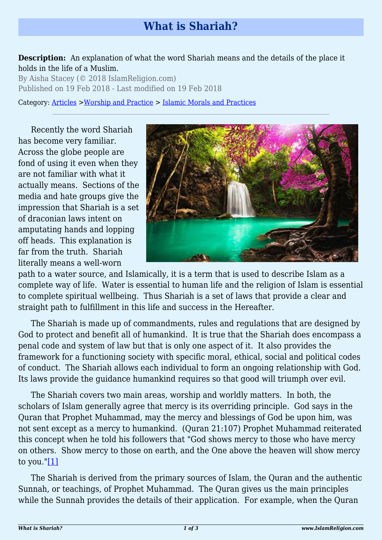## **What is Shariah?**

## **Description:** An explanation of what the word Shariah means and the details of the place it holds in the life of a Muslim.

By Aisha Stacey (© 2018 IslamReligion.com) Published on 19 Feb 2018 - Last modified on 19 Feb 2018

Category: [Articles](http://www.islamreligion.com/articles/) >[Worship and Practice](http://www.islamreligion.com/category/55/) > [Islamic Morals and Practices](http://www.islamreligion.com/category/58/)

Recently the word Shariah has become very familiar. Across the globe people are fond of using it even when they are not familiar with what it actually means. Sections of the media and hate groups give the impression that Shariah is a set of draconian laws intent on amputating hands and lopping off heads. This explanation is far from the truth. Shariah literally means a well-worn



path to a water source, and Islamically, it is a term that is used to describe Islam as a complete way of life. Water is essential to human life and the religion of Islam is essential to complete spiritual wellbeing. Thus Shariah is a set of laws that provide a clear and straight path to fulfillment in this life and success in the Hereafter.

The Shariah is made up of commandments, rules and regulations that are designed by God to protect and benefit all of humankind. It is true that the Shariah does encompass a penal code and system of law but that is only one aspect of it. It also provides the framework for a functioning society with specific moral, ethical, social and political codes of conduct. The Shariah allows each individual to form an ongoing relationship with God. Its laws provide the guidance humankind requires so that good will triumph over evil.

The Shariah covers two main areas, worship and worldly matters. In both, the scholars of Islam generally agree that mercy is its overriding principle. God says in the Quran that Prophet Muhammad, may the mercy and blessings of God be upon him, was not sent except as a mercy to humankind. (Quran 21:107) Prophet Muhammad reiterated this concept when he told his followers that "God shows mercy to those who have mercy on others. Show mercy to those on earth, and the One above the heaven will show mercy to you." $[1]$ 

<span id="page-0-0"></span>The Shariah is derived from the primary sources of Islam, the Quran and the authentic Sunnah, or teachings, of Prophet Muhammad. The Quran gives us the main principles while the Sunnah provides the details of their application. For example, when the Quran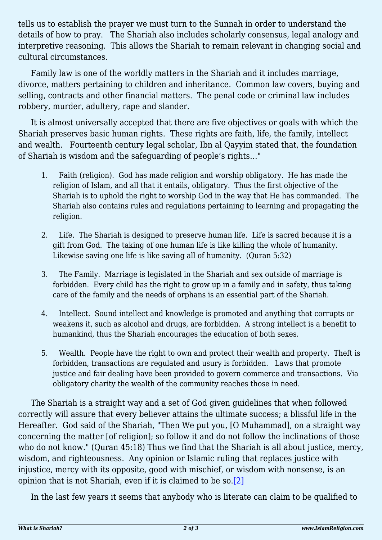tells us to establish the prayer we must turn to the Sunnah in order to understand the details of how to pray. The Shariah also includes scholarly consensus, legal analogy and interpretive reasoning. This allows the Shariah to remain relevant in changing social and cultural circumstances.

Family law is one of the worldly matters in the Shariah and it includes marriage, divorce, matters pertaining to children and inheritance. Common law covers, buying and selling, contracts and other financial matters. The penal code or criminal law includes robbery, murder, adultery, rape and slander.

It is almost universally accepted that there are five objectives or goals with which the Shariah preserves basic human rights. These rights are faith, life, the family, intellect and wealth. Fourteenth century legal scholar, Ibn al Qayyim stated that, the foundation of Shariah is wisdom and the safeguarding of people's rights…"

- 1. Faith (religion). God has made religion and worship obligatory. He has made the religion of Islam, and all that it entails, obligatory. Thus the first objective of the Shariah is to uphold the right to worship God in the way that He has commanded. The Shariah also contains rules and regulations pertaining to learning and propagating the religion.
- 2. Life. The Shariah is designed to preserve human life. Life is sacred because it is a gift from God. The taking of one human life is like killing the whole of humanity. Likewise saving one life is like saving all of humanity. (Quran 5:32)
- 3. The Family. Marriage is legislated in the Shariah and sex outside of marriage is forbidden. Every child has the right to grow up in a family and in safety, thus taking care of the family and the needs of orphans is an essential part of the Shariah.
- 4. Intellect. Sound intellect and knowledge is promoted and anything that corrupts or weakens it, such as alcohol and drugs, are forbidden. A strong intellect is a benefit to humankind, thus the Shariah encourages the education of both sexes.
- 5. Wealth. People have the right to own and protect their wealth and property. Theft is forbidden, transactions are regulated and usury is forbidden. Laws that promote justice and fair dealing have been provided to govern commerce and transactions. Via obligatory charity the wealth of the community reaches those in need.

The Shariah is a straight way and a set of God given guidelines that when followed correctly will assure that every believer attains the ultimate success; a blissful life in the Hereafter. God said of the Shariah, "Then We put you, [O Muhammad], on a straight way concerning the matter [of religion]; so follow it and do not follow the inclinations of those who do not know." (Quran 45:18) Thus we find that the Shariah is all about justice, mercy, wisdom, and righteousness. Any opinion or Islamic ruling that replaces justice with injustice, mercy with its opposite, good with mischief, or wisdom with nonsense, is an opinion that is not Shariah, even if it is claimed to be so.[\[2\]](#page-2-1)

<span id="page-1-0"></span>In the last few years it seems that anybody who is literate can claim to be qualified to